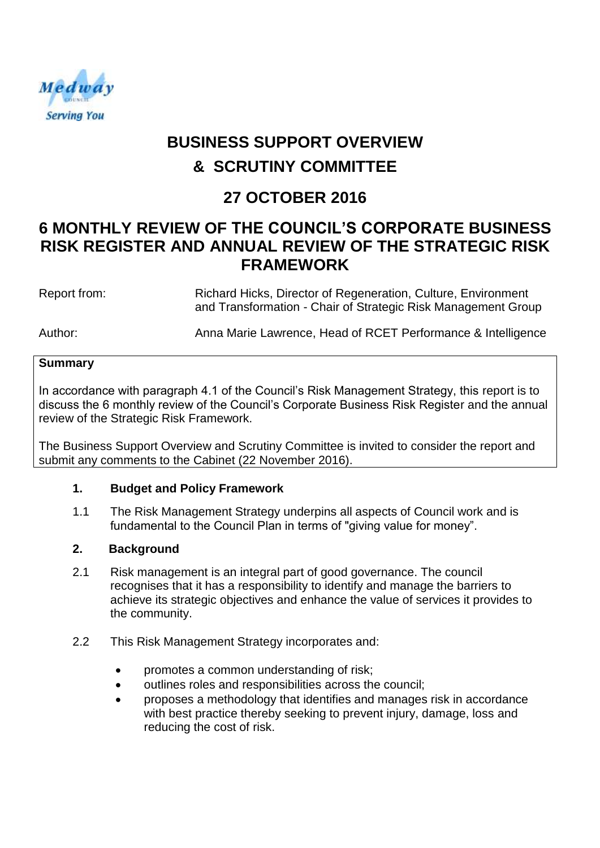

# **BUSINESS SUPPORT OVERVIEW & SCRUTINY COMMITTEE**

# **27 OCTOBER 2016**

# **6 MONTHLY REVIEW OF THE COUNCIL'S CORPORATE BUSINESS RISK REGISTER AND ANNUAL REVIEW OF THE STRATEGIC RISK FRAMEWORK**

Report from: Richard Hicks, Director of Regeneration, Culture, Environment and Transformation - Chair of Strategic Risk Management Group

Author: Anna Marie Lawrence, Head of RCET Performance & Intelligence

#### **Summary**

In accordance with paragraph 4.1 of the Council's Risk Management Strategy, this report is to discuss the 6 monthly review of the Council's Corporate Business Risk Register and the annual review of the Strategic Risk Framework.

The Business Support Overview and Scrutiny Committee is invited to consider the report and submit any comments to the Cabinet (22 November 2016).

## **1. Budget and Policy Framework**

1.1 The Risk Management Strategy underpins all aspects of Council work and is fundamental to the Council Plan in terms of "giving value for money".

## **2. Background**

- 2.1 Risk management is an integral part of good governance. The council recognises that it has a responsibility to identify and manage the barriers to achieve its strategic objectives and enhance the value of services it provides to the community.
- 2.2 This Risk Management Strategy incorporates and:
	- promotes a common understanding of risk;
	- outlines roles and responsibilities across the council;
	- proposes a methodology that identifies and manages risk in accordance with best practice thereby seeking to prevent injury, damage, loss and reducing the cost of risk.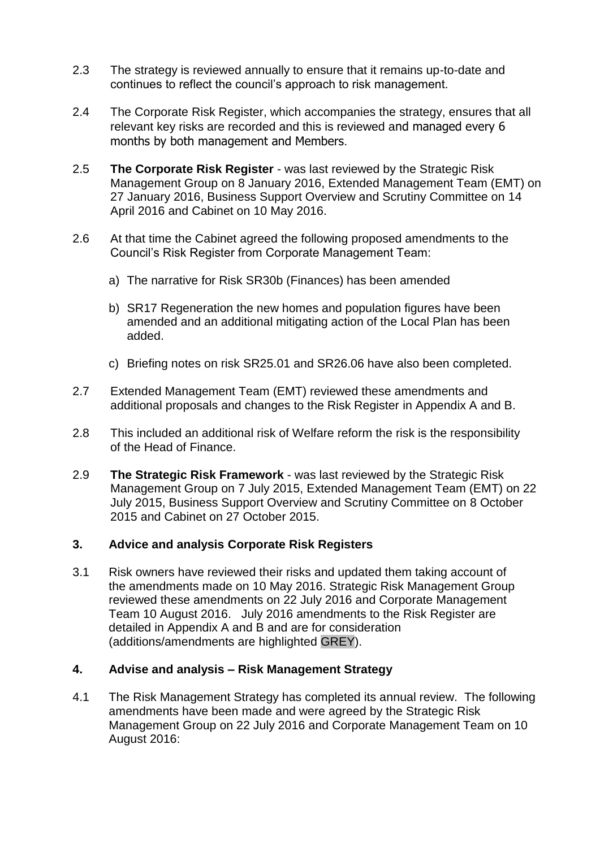- 2.3 The strategy is reviewed annually to ensure that it remains up-to-date and continues to reflect the council's approach to risk management.
- 2.4 The Corporate Risk Register, which accompanies the strategy, ensures that all relevant key risks are recorded and this is reviewed and managed every 6 months by both management and Members.
- 2.5 **The Corporate Risk Register** was last reviewed by the Strategic Risk Management Group on 8 January 2016, Extended Management Team (EMT) on 27 January 2016, Business Support Overview and Scrutiny Committee on 14 April 2016 and Cabinet on 10 May 2016.
- 2.6 At that time the Cabinet agreed the following proposed amendments to the Council's Risk Register from Corporate Management Team:
	- a) The narrative for Risk SR30b (Finances) has been amended
	- b) SR17 Regeneration the new homes and population figures have been amended and an additional mitigating action of the Local Plan has been added.
	- c) Briefing notes on risk SR25.01 and SR26.06 have also been completed.
- 2.7 Extended Management Team (EMT) reviewed these amendments and additional proposals and changes to the Risk Register in Appendix A and B.
- 2.8 This included an additional risk of Welfare reform the risk is the responsibility of the Head of Finance.
- 2.9 **The Strategic Risk Framework** was last reviewed by the Strategic Risk Management Group on 7 July 2015, Extended Management Team (EMT) on 22 July 2015, Business Support Overview and Scrutiny Committee on 8 October 2015 and Cabinet on 27 October 2015.

#### **3. Advice and analysis Corporate Risk Registers**

3.1 Risk owners have reviewed their risks and updated them taking account of the amendments made on 10 May 2016. Strategic Risk Management Group reviewed these amendments on 22 July 2016 and Corporate Management Team 10 August 2016. July 2016 amendments to the Risk Register are detailed in Appendix A and B and are for consideration (additions/amendments are highlighted GREY).

#### **4. Advise and analysis – Risk Management Strategy**

4.1 The Risk Management Strategy has completed its annual review. The following amendments have been made and were agreed by the Strategic Risk Management Group on 22 July 2016 and Corporate Management Team on 10 August 2016: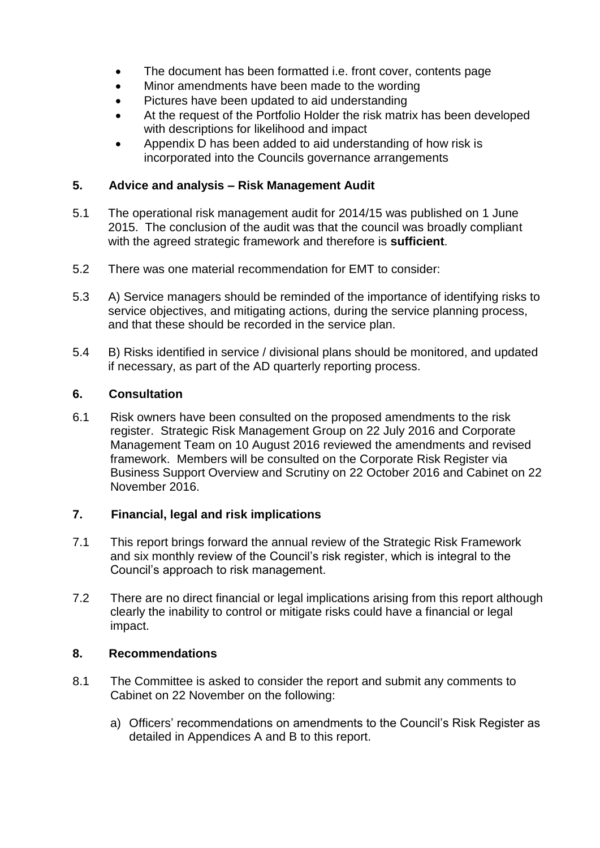- The document has been formatted i.e. front cover, contents page
- Minor amendments have been made to the wording
- Pictures have been updated to aid understanding
- At the request of the Portfolio Holder the risk matrix has been developed with descriptions for likelihood and impact
- Appendix D has been added to aid understanding of how risk is incorporated into the Councils governance arrangements

## **5. Advice and analysis – Risk Management Audit**

- 5.1 The operational risk management audit for 2014/15 was published on 1 June 2015. The conclusion of the audit was that the council was broadly compliant with the agreed strategic framework and therefore is **sufficient**.
- 5.2 There was one material recommendation for EMT to consider:
- 5.3 A) Service managers should be reminded of the importance of identifying risks to service objectives, and mitigating actions, during the service planning process, and that these should be recorded in the service plan.
- 5.4 B) Risks identified in service / divisional plans should be monitored, and updated if necessary, as part of the AD quarterly reporting process.

#### **6. Consultation**

6.1 Risk owners have been consulted on the proposed amendments to the risk register. Strategic Risk Management Group on 22 July 2016 and Corporate Management Team on 10 August 2016 reviewed the amendments and revised framework. Members will be consulted on the Corporate Risk Register via Business Support Overview and Scrutiny on 22 October 2016 and Cabinet on 22 November 2016.

#### **7. Financial, legal and risk implications**

- 7.1 This report brings forward the annual review of the Strategic Risk Framework and six monthly review of the Council's risk register, which is integral to the Council's approach to risk management.
- 7.2 There are no direct financial or legal implications arising from this report although clearly the inability to control or mitigate risks could have a financial or legal impact.

#### **8. Recommendations**

- 8.1 The Committee is asked to consider the report and submit any comments to Cabinet on 22 November on the following:
	- a) Officers' recommendations on amendments to the Council's Risk Register as detailed in Appendices A and B to this report.